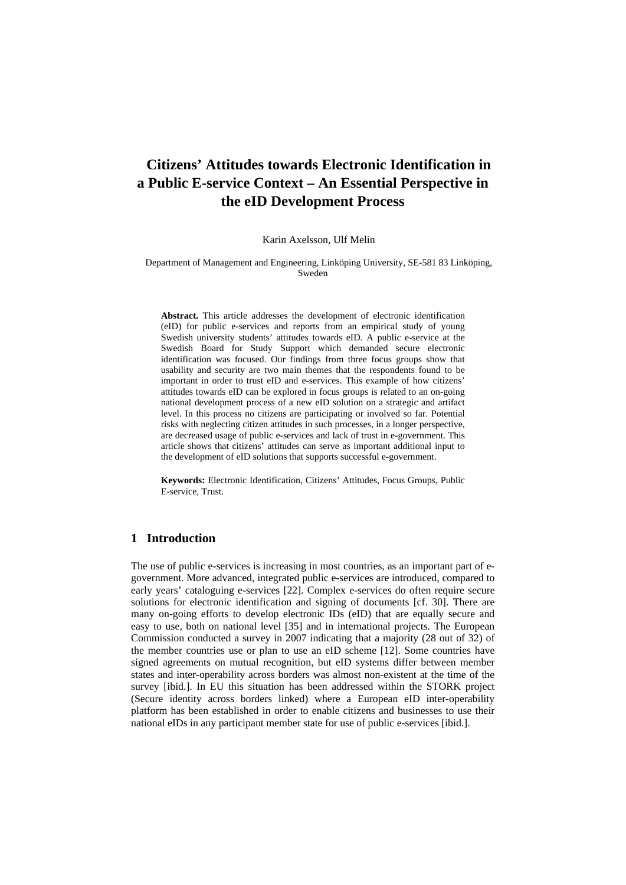# **Citizens' Attitudes towards Electronic Identification in a Public E-service Context – An Essential Perspective in the eID Development Process**

Karin Axelsson, Ulf Melin

Department of Management and Engineering, Linköping University, SE-581 83 Linköping, Sweden

**Abstract.** This article addresses the development of electronic identification (eID) for public e-services and reports from an empirical study of young Swedish university students' attitudes towards eID. A public e-service at the Swedish Board for Study Support which demanded secure electronic identification was focused. Our findings from three focus groups show that usability and security are two main themes that the respondents found to be important in order to trust eID and e-services. This example of how citizens' attitudes towards eID can be explored in focus groups is related to an on-going national development process of a new eID solution on a strategic and artifact level. In this process no citizens are participating or involved so far. Potential risks with neglecting citizen attitudes in such processes, in a longer perspective, are decreased usage of public e-services and lack of trust in e-government. This article shows that citizens' attitudes can serve as important additional input to the development of eID solutions that supports successful e-government.

**Keywords:** Electronic Identification, Citizens' Attitudes, Focus Groups, Public E-service, Trust.

# **1 Introduction**

The use of public e-services is increasing in most countries, as an important part of egovernment. More advanced, integrated public e-services are introduced, compared to early years' cataloguing e-services [22]. Complex e-services do often require secure solutions for electronic identification and signing of documents [cf. 30]. There are many on-going efforts to develop electronic IDs (eID) that are equally secure and easy to use, both on national level [35] and in international projects. The European Commission conducted a survey in 2007 indicating that a majority (28 out of 32) of the member countries use or plan to use an eID scheme [12]. Some countries have signed agreements on mutual recognition, but eID systems differ between member states and inter-operability across borders was almost non-existent at the time of the survey [ibid.]. In EU this situation has been addressed within the STORK project (Secure identity across borders linked) where a European eID inter-operability platform has been established in order to enable citizens and businesses to use their national eIDs in any participant member state for use of public e-services [ibid.].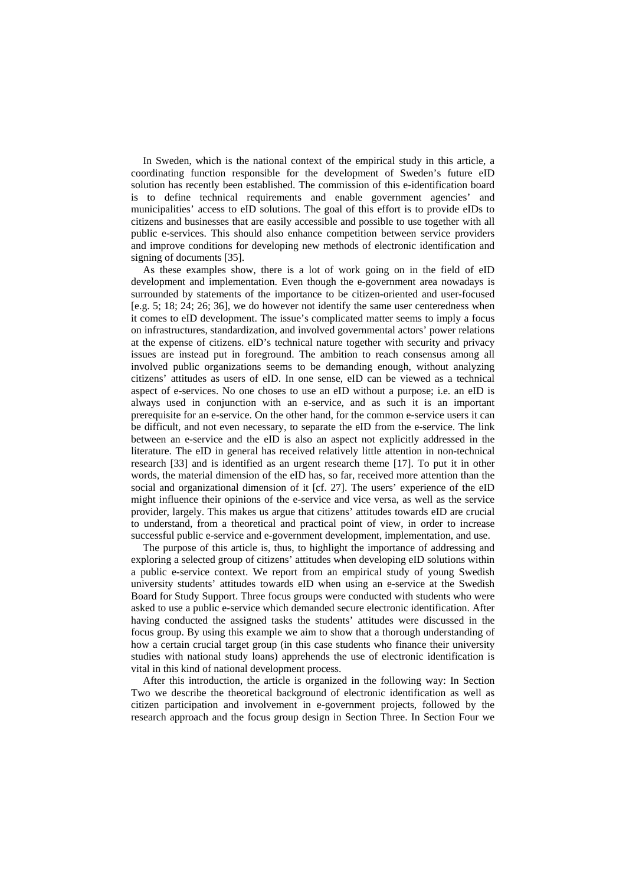In Sweden, which is the national context of the empirical study in this article, a coordinating function responsible for the development of Sweden's future eID solution has recently been established. The commission of this e-identification board is to define technical requirements and enable government agencies' and municipalities' access to eID solutions. The goal of this effort is to provide eIDs to citizens and businesses that are easily accessible and possible to use together with all public e-services. This should also enhance competition between service providers and improve conditions for developing new methods of electronic identification and signing of documents [35].

As these examples show, there is a lot of work going on in the field of eID development and implementation. Even though the e-government area nowadays is surrounded by statements of the importance to be citizen-oriented and user-focused [e.g. 5; 18; 24; 26; 36], we do however not identify the same user centeredness when it comes to eID development. The issue's complicated matter seems to imply a focus on infrastructures, standardization, and involved governmental actors' power relations at the expense of citizens. eID's technical nature together with security and privacy issues are instead put in foreground. The ambition to reach consensus among all involved public organizations seems to be demanding enough, without analyzing citizens' attitudes as users of eID. In one sense, eID can be viewed as a technical aspect of e-services. No one choses to use an eID without a purpose; i.e. an eID is always used in conjunction with an e-service, and as such it is an important prerequisite for an e-service. On the other hand, for the common e-service users it can be difficult, and not even necessary, to separate the eID from the e-service. The link between an e-service and the eID is also an aspect not explicitly addressed in the literature. The eID in general has received relatively little attention in non-technical research [33] and is identified as an urgent research theme [17]. To put it in other words, the material dimension of the eID has, so far, received more attention than the social and organizational dimension of it [cf. 27]. The users' experience of the eID might influence their opinions of the e-service and vice versa, as well as the service provider, largely. This makes us argue that citizens' attitudes towards eID are crucial to understand, from a theoretical and practical point of view, in order to increase successful public e-service and e-government development, implementation, and use.

The purpose of this article is, thus, to highlight the importance of addressing and exploring a selected group of citizens' attitudes when developing eID solutions within a public e-service context. We report from an empirical study of young Swedish university students' attitudes towards eID when using an e-service at the Swedish Board for Study Support. Three focus groups were conducted with students who were asked to use a public e-service which demanded secure electronic identification. After having conducted the assigned tasks the students' attitudes were discussed in the focus group. By using this example we aim to show that a thorough understanding of how a certain crucial target group (in this case students who finance their university studies with national study loans) apprehends the use of electronic identification is vital in this kind of national development process.

After this introduction, the article is organized in the following way: In Section Two we describe the theoretical background of electronic identification as well as citizen participation and involvement in e-government projects, followed by the research approach and the focus group design in Section Three. In Section Four we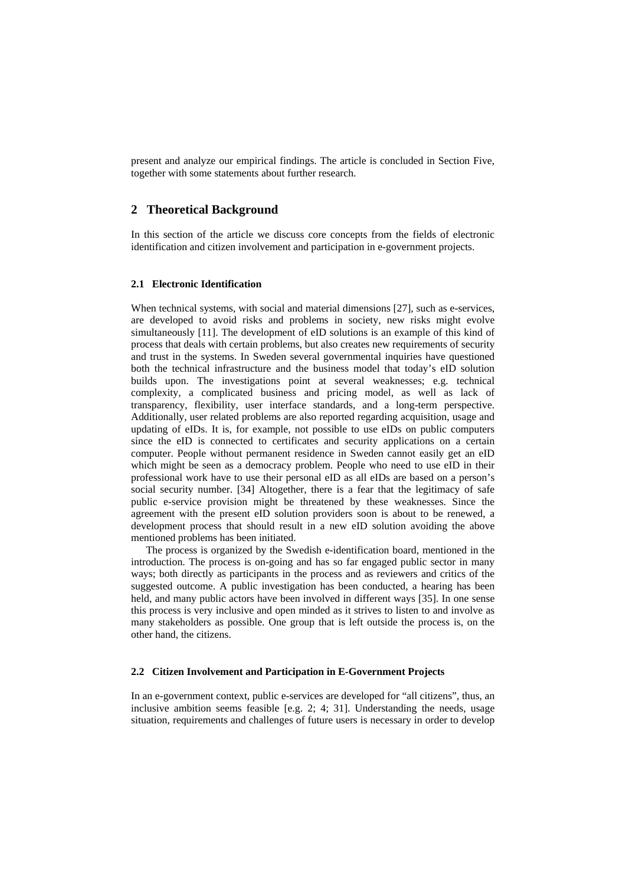present and analyze our empirical findings. The article is concluded in Section Five, together with some statements about further research.

## **2 Theoretical Background**

In this section of the article we discuss core concepts from the fields of electronic identification and citizen involvement and participation in e-government projects.

## **2.1 Electronic Identification**

When technical systems, with social and material dimensions [27], such as e-services, are developed to avoid risks and problems in society, new risks might evolve simultaneously [11]. The development of eID solutions is an example of this kind of process that deals with certain problems, but also creates new requirements of security and trust in the systems. In Sweden several governmental inquiries have questioned both the technical infrastructure and the business model that today's eID solution builds upon. The investigations point at several weaknesses; e.g. technical complexity, a complicated business and pricing model, as well as lack of transparency, flexibility, user interface standards, and a long-term perspective. Additionally, user related problems are also reported regarding acquisition, usage and updating of eIDs. It is, for example, not possible to use eIDs on public computers since the eID is connected to certificates and security applications on a certain computer. People without permanent residence in Sweden cannot easily get an eID which might be seen as a democracy problem. People who need to use eID in their professional work have to use their personal eID as all eIDs are based on a person's social security number. [34] Altogether, there is a fear that the legitimacy of safe public e-service provision might be threatened by these weaknesses. Since the agreement with the present eID solution providers soon is about to be renewed, a development process that should result in a new eID solution avoiding the above mentioned problems has been initiated.

The process is organized by the Swedish e-identification board, mentioned in the introduction. The process is on-going and has so far engaged public sector in many ways; both directly as participants in the process and as reviewers and critics of the suggested outcome. A public investigation has been conducted, a hearing has been held, and many public actors have been involved in different ways [35]. In one sense this process is very inclusive and open minded as it strives to listen to and involve as many stakeholders as possible. One group that is left outside the process is, on the other hand, the citizens.

#### **2.2 Citizen Involvement and Participation in E-Government Projects**

In an e-government context, public e-services are developed for "all citizens", thus, an inclusive ambition seems feasible [e.g. 2; 4; 31]. Understanding the needs, usage situation, requirements and challenges of future users is necessary in order to develop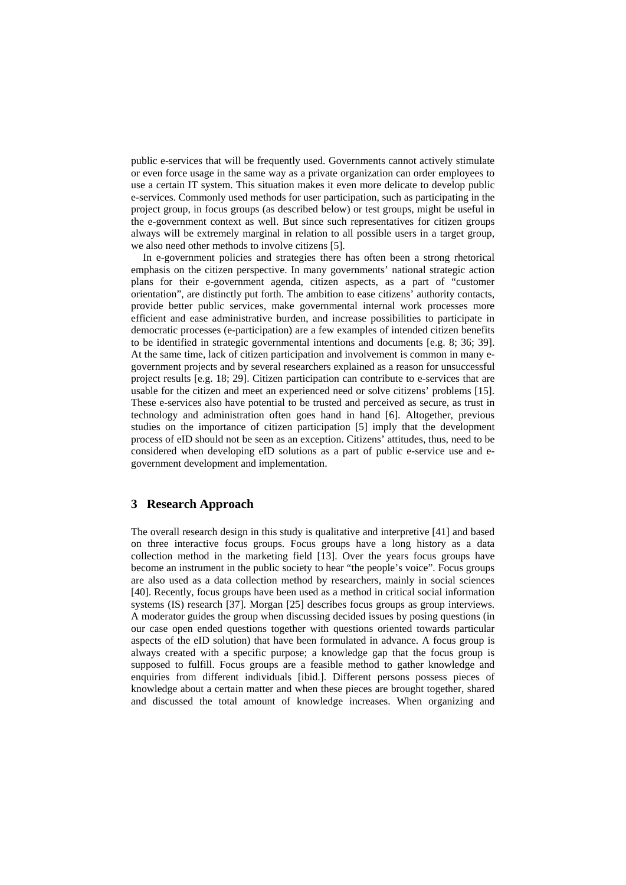public e-services that will be frequently used. Governments cannot actively stimulate or even force usage in the same way as a private organization can order employees to use a certain IT system. This situation makes it even more delicate to develop public e-services. Commonly used methods for user participation, such as participating in the project group, in focus groups (as described below) or test groups, might be useful in the e-government context as well. But since such representatives for citizen groups always will be extremely marginal in relation to all possible users in a target group, we also need other methods to involve citizens [5].

In e-government policies and strategies there has often been a strong rhetorical emphasis on the citizen perspective. In many governments' national strategic action plans for their e-government agenda, citizen aspects, as a part of "customer orientation", are distinctly put forth. The ambition to ease citizens' authority contacts, provide better public services, make governmental internal work processes more efficient and ease administrative burden, and increase possibilities to participate in democratic processes (e-participation) are a few examples of intended citizen benefits to be identified in strategic governmental intentions and documents [e.g. 8; 36; 39]. At the same time, lack of citizen participation and involvement is common in many egovernment projects and by several researchers explained as a reason for unsuccessful project results [e.g. 18; 29]. Citizen participation can contribute to e-services that are usable for the citizen and meet an experienced need or solve citizens' problems [15]. These e-services also have potential to be trusted and perceived as secure, as trust in technology and administration often goes hand in hand [6]. Altogether, previous studies on the importance of citizen participation [5] imply that the development process of eID should not be seen as an exception. Citizens' attitudes, thus, need to be considered when developing eID solutions as a part of public e-service use and egovernment development and implementation.

## **3 Research Approach**

The overall research design in this study is qualitative and interpretive [41] and based on three interactive focus groups. Focus groups have a long history as a data collection method in the marketing field [13]. Over the years focus groups have become an instrument in the public society to hear "the people's voice". Focus groups are also used as a data collection method by researchers, mainly in social sciences [40]. Recently, focus groups have been used as a method in critical social information systems (IS) research [37]. Morgan [25] describes focus groups as group interviews. A moderator guides the group when discussing decided issues by posing questions (in our case open ended questions together with questions oriented towards particular aspects of the eID solution) that have been formulated in advance. A focus group is always created with a specific purpose; a knowledge gap that the focus group is supposed to fulfill. Focus groups are a feasible method to gather knowledge and enquiries from different individuals [ibid.]. Different persons possess pieces of knowledge about a certain matter and when these pieces are brought together, shared and discussed the total amount of knowledge increases. When organizing and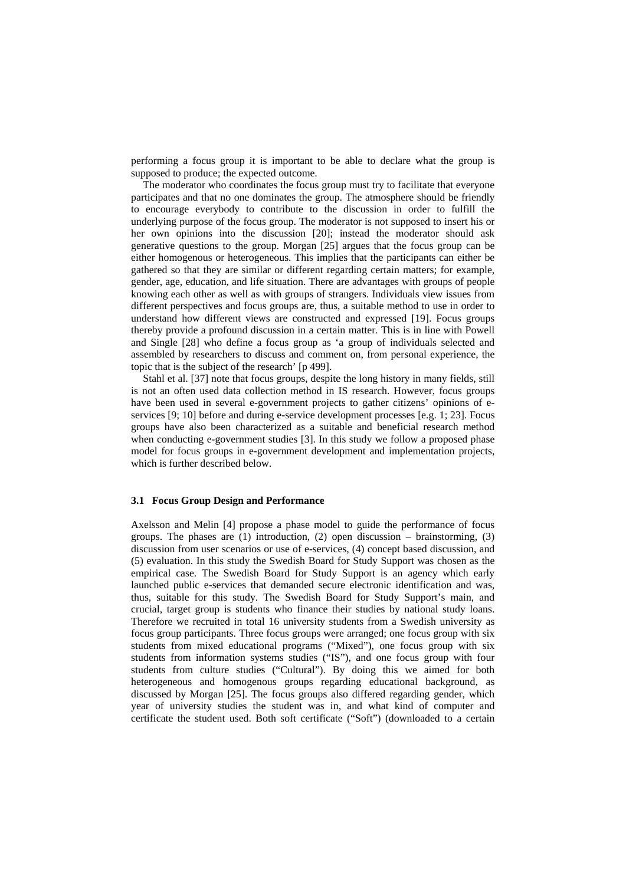performing a focus group it is important to be able to declare what the group is supposed to produce; the expected outcome.

The moderator who coordinates the focus group must try to facilitate that everyone participates and that no one dominates the group. The atmosphere should be friendly to encourage everybody to contribute to the discussion in order to fulfill the underlying purpose of the focus group. The moderator is not supposed to insert his or her own opinions into the discussion [20]; instead the moderator should ask generative questions to the group. Morgan [25] argues that the focus group can be either homogenous or heterogeneous. This implies that the participants can either be gathered so that they are similar or different regarding certain matters; for example, gender, age, education, and life situation. There are advantages with groups of people knowing each other as well as with groups of strangers. Individuals view issues from different perspectives and focus groups are, thus, a suitable method to use in order to understand how different views are constructed and expressed [19]. Focus groups thereby provide a profound discussion in a certain matter. This is in line with Powell and Single [28] who define a focus group as 'a group of individuals selected and assembled by researchers to discuss and comment on, from personal experience, the topic that is the subject of the research' [p 499].

Stahl et al. [37] note that focus groups, despite the long history in many fields, still is not an often used data collection method in IS research. However, focus groups have been used in several e-government projects to gather citizens' opinions of eservices [9; 10] before and during e-service development processes [e.g. 1; 23]. Focus groups have also been characterized as a suitable and beneficial research method when conducting e-government studies [3]. In this study we follow a proposed phase model for focus groups in e-government development and implementation projects, which is further described below.

#### **3.1 Focus Group Design and Performance**

Axelsson and Melin [4] propose a phase model to guide the performance of focus groups. The phases are  $(1)$  introduction,  $(2)$  open discussion – brainstorming,  $(3)$ discussion from user scenarios or use of e-services, (4) concept based discussion, and (5) evaluation. In this study the Swedish Board for Study Support was chosen as the empirical case. The Swedish Board for Study Support is an agency which early launched public e-services that demanded secure electronic identification and was, thus, suitable for this study. The Swedish Board for Study Support's main, and crucial, target group is students who finance their studies by national study loans. Therefore we recruited in total 16 university students from a Swedish university as focus group participants. Three focus groups were arranged; one focus group with six students from mixed educational programs ("Mixed"), one focus group with six students from information systems studies ("IS"), and one focus group with four students from culture studies ("Cultural"). By doing this we aimed for both heterogeneous and homogenous groups regarding educational background, as discussed by Morgan [25]. The focus groups also differed regarding gender, which year of university studies the student was in, and what kind of computer and certificate the student used. Both soft certificate ("Soft") (downloaded to a certain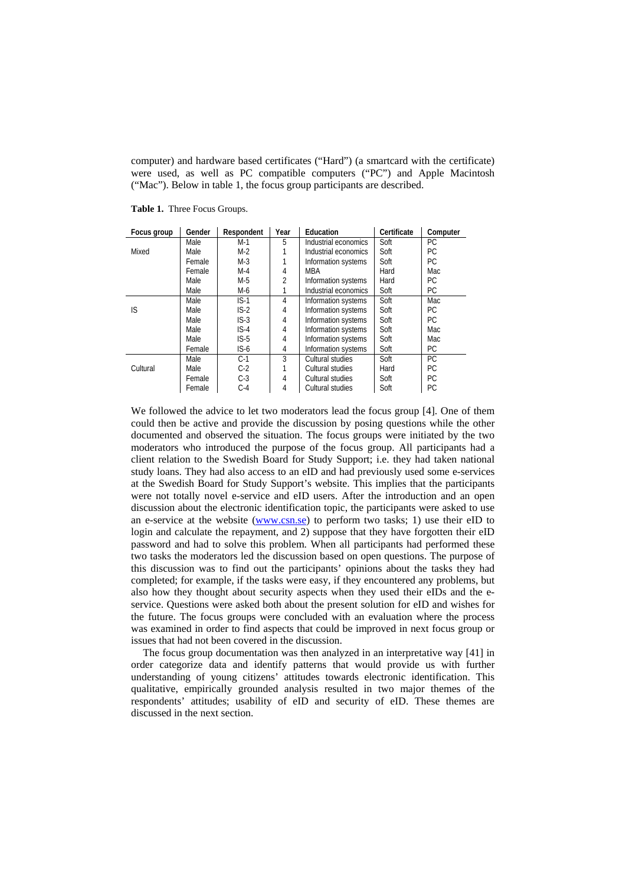computer) and hardware based certificates ("Hard") (a smartcard with the certificate) were used, as well as PC compatible computers ("PC") and Apple Macintosh ("Mac"). Below in table 1, the focus group participants are described.

| Focus group | Gender | Respondent | Year           | Education            | Certificate | Computer |
|-------------|--------|------------|----------------|----------------------|-------------|----------|
|             | Male   | $M-1$      | 5              | Industrial economics | Soft        | РC       |
| Mixed       | Male   | $M-2$      |                | Industrial economics | Soft        | PC.      |
|             | Female | $M-3$      |                | Information systems  | Soft        | PC.      |
|             | Female | $M-4$      | 4              | <b>MBA</b>           | Hard        | Mac      |
|             | Male   | $M-5$      | $\overline{2}$ | Information systems  | Hard        | PC.      |
|             | Male   | M-6        | 1              | Industrial economics | Soft        | РC       |
|             | Male   | $IS-1$     | 4              | Information systems  | Soft        | Mac      |
| IS          | Male   | $IS-2$     | 4              | Information systems  | Soft        | PC       |
|             | Male   | $IS-3$     | 4              | Information systems  | Soft        | PC.      |
|             | Male   | $IS-4$     | 4              | Information systems  | Soft        | Mac      |
|             | Male   | $IS-5$     | 4              | Information systems  | Soft        | Mac      |
|             | Female | $IS-6$     | 4              | Information systems  | Soft        | PC       |
|             | Male   | $C-1$      | 3              | Cultural studies     | Soft        | PC.      |
| Cultural    | Male   | $C-2$      | 1              | Cultural studies     | Hard        | PC       |
|             | Female | $C-3$      | 4              | Cultural studies     | Soft        | PC       |
|             | Female | $C-4$      | 4              | Cultural studies     | Soft        | PC       |

**Table 1.** Three Focus Groups.

We followed the advice to let two moderators lead the focus group [4]. One of them could then be active and provide the discussion by posing questions while the other documented and observed the situation. The focus groups were initiated by the two moderators who introduced the purpose of the focus group. All participants had a client relation to the Swedish Board for Study Support; i.e. they had taken national study loans. They had also access to an eID and had previously used some e-services at the Swedish Board for Study Support's website. This implies that the participants were not totally novel e-service and eID users. After the introduction and an open discussion about the electronic identification topic, the participants were asked to use an e-service at the website (www.csn.se) to perform two tasks; 1) use their eID to login and calculate the repayment, and 2) suppose that they have forgotten their eID password and had to solve this problem. When all participants had performed these two tasks the moderators led the discussion based on open questions. The purpose of this discussion was to find out the participants' opinions about the tasks they had completed; for example, if the tasks were easy, if they encountered any problems, but also how they thought about security aspects when they used their eIDs and the eservice. Questions were asked both about the present solution for eID and wishes for the future. The focus groups were concluded with an evaluation where the process was examined in order to find aspects that could be improved in next focus group or issues that had not been covered in the discussion.

The focus group documentation was then analyzed in an interpretative way [41] in order categorize data and identify patterns that would provide us with further understanding of young citizens' attitudes towards electronic identification. This qualitative, empirically grounded analysis resulted in two major themes of the respondents' attitudes; usability of eID and security of eID. These themes are discussed in the next section.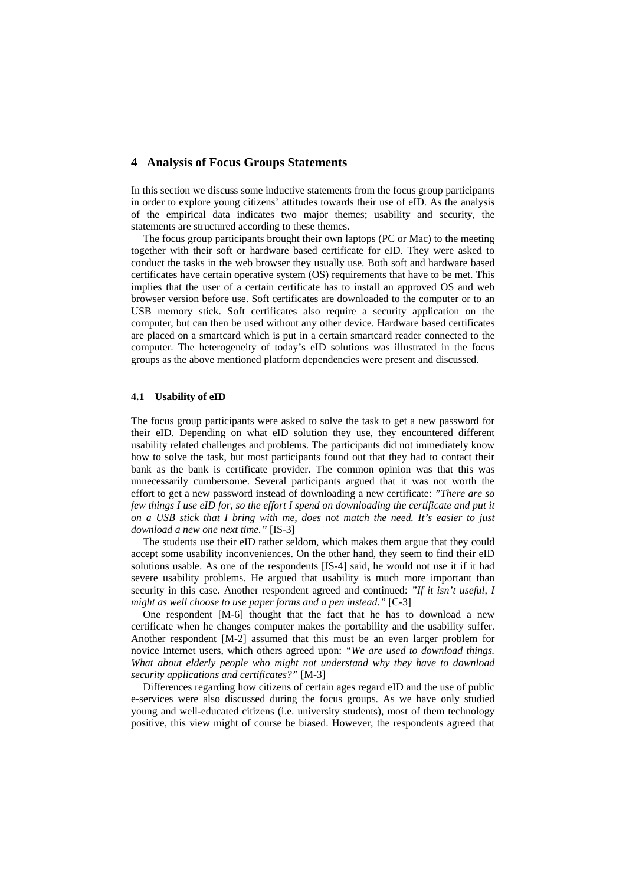## **4 Analysis of Focus Groups Statements**

In this section we discuss some inductive statements from the focus group participants in order to explore young citizens' attitudes towards their use of eID. As the analysis of the empirical data indicates two major themes; usability and security, the statements are structured according to these themes.

The focus group participants brought their own laptops (PC or Mac) to the meeting together with their soft or hardware based certificate for eID. They were asked to conduct the tasks in the web browser they usually use. Both soft and hardware based certificates have certain operative system (OS) requirements that have to be met. This implies that the user of a certain certificate has to install an approved OS and web browser version before use. Soft certificates are downloaded to the computer or to an USB memory stick. Soft certificates also require a security application on the computer, but can then be used without any other device. Hardware based certificates are placed on a smartcard which is put in a certain smartcard reader connected to the computer. The heterogeneity of today's eID solutions was illustrated in the focus groups as the above mentioned platform dependencies were present and discussed.

## **4.1 Usability of eID**

The focus group participants were asked to solve the task to get a new password for their eID. Depending on what eID solution they use, they encountered different usability related challenges and problems. The participants did not immediately know how to solve the task, but most participants found out that they had to contact their bank as the bank is certificate provider. The common opinion was that this was unnecessarily cumbersome. Several participants argued that it was not worth the effort to get a new password instead of downloading a new certificate: *"There are so few things I use eID for, so the effort I spend on downloading the certificate and put it on a USB stick that I bring with me, does not match the need. It's easier to just download a new one next time."* [IS-3]

The students use their eID rather seldom, which makes them argue that they could accept some usability inconveniences. On the other hand, they seem to find their eID solutions usable. As one of the respondents [IS-4] said, he would not use it if it had severe usability problems. He argued that usability is much more important than security in this case. Another respondent agreed and continued: *"If it isn't useful, I might as well choose to use paper forms and a pen instead."* [C-3]

One respondent [M-6] thought that the fact that he has to download a new certificate when he changes computer makes the portability and the usability suffer. Another respondent [M-2] assumed that this must be an even larger problem for novice Internet users, which others agreed upon: *"We are used to download things. What about elderly people who might not understand why they have to download security applications and certificates?"* [M-3]

Differences regarding how citizens of certain ages regard eID and the use of public e-services were also discussed during the focus groups. As we have only studied young and well-educated citizens (i.e. university students), most of them technology positive, this view might of course be biased. However, the respondents agreed that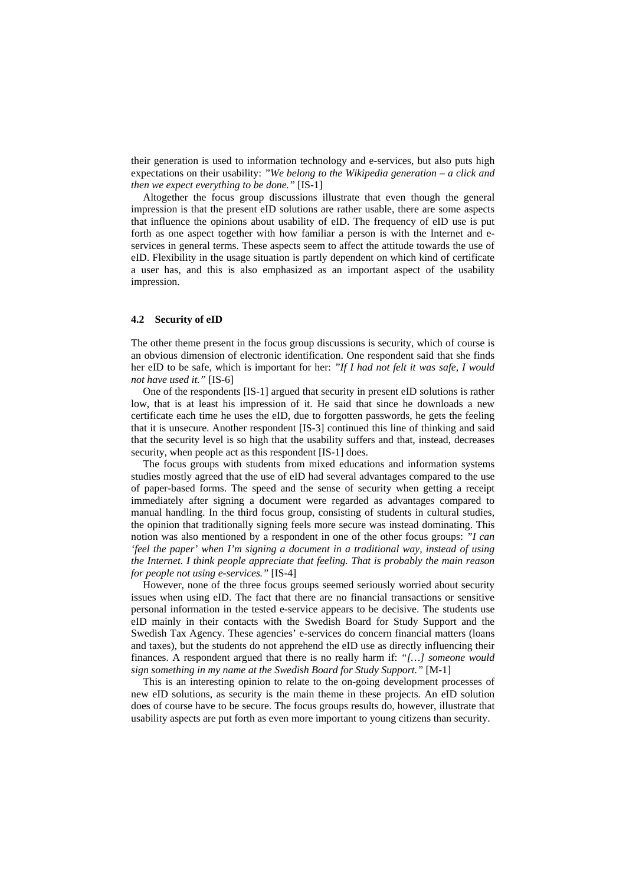their generation is used to information technology and e-services, but also puts high expectations on their usability: *"We belong to the Wikipedia generation – a click and then we expect everything to be done."* [IS-1]

Altogether the focus group discussions illustrate that even though the general impression is that the present eID solutions are rather usable, there are some aspects that influence the opinions about usability of eID. The frequency of eID use is put forth as one aspect together with how familiar a person is with the Internet and eservices in general terms. These aspects seem to affect the attitude towards the use of eID. Flexibility in the usage situation is partly dependent on which kind of certificate a user has, and this is also emphasized as an important aspect of the usability impression.

#### **4.2 Security of eID**

The other theme present in the focus group discussions is security, which of course is an obvious dimension of electronic identification. One respondent said that she finds her eID to be safe, which is important for her: *"If I had not felt it was safe, I would not have used it."* [IS-6]

One of the respondents [IS-1] argued that security in present eID solutions is rather low, that is at least his impression of it. He said that since he downloads a new certificate each time he uses the eID, due to forgotten passwords, he gets the feeling that it is unsecure. Another respondent [IS-3] continued this line of thinking and said that the security level is so high that the usability suffers and that, instead, decreases security, when people act as this respondent [IS-1] does.

The focus groups with students from mixed educations and information systems studies mostly agreed that the use of eID had several advantages compared to the use of paper-based forms. The speed and the sense of security when getting a receipt immediately after signing a document were regarded as advantages compared to manual handling. In the third focus group, consisting of students in cultural studies, the opinion that traditionally signing feels more secure was instead dominating. This notion was also mentioned by a respondent in one of the other focus groups: *"I can 'feel the paper' when I'm signing a document in a traditional way, instead of using the Internet. I think people appreciate that feeling. That is probably the main reason for people not using e-services."* [IS-4]

However, none of the three focus groups seemed seriously worried about security issues when using eID. The fact that there are no financial transactions or sensitive personal information in the tested e-service appears to be decisive. The students use eID mainly in their contacts with the Swedish Board for Study Support and the Swedish Tax Agency. These agencies' e-services do concern financial matters (loans and taxes), but the students do not apprehend the eID use as directly influencing their finances. A respondent argued that there is no really harm if: *"[…] someone would sign something in my name at the Swedish Board for Study Support."* [M-1]

This is an interesting opinion to relate to the on-going development processes of new eID solutions, as security is the main theme in these projects. An eID solution does of course have to be secure. The focus groups results do, however, illustrate that usability aspects are put forth as even more important to young citizens than security.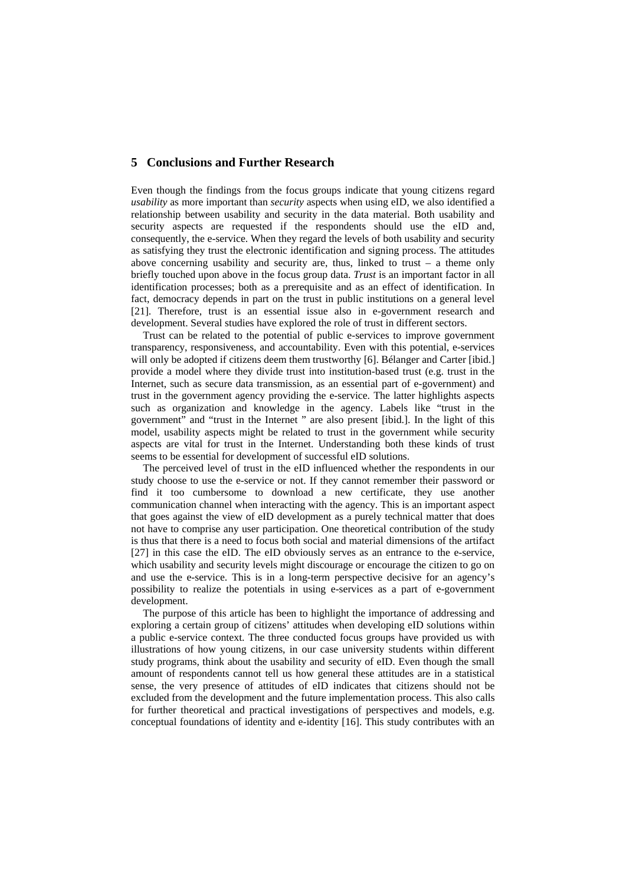# **5 Conclusions and Further Research**

Even though the findings from the focus groups indicate that young citizens regard *usability* as more important than *security* aspects when using eID, we also identified a relationship between usability and security in the data material. Both usability and security aspects are requested if the respondents should use the eID and, consequently, the e-service. When they regard the levels of both usability and security as satisfying they trust the electronic identification and signing process. The attitudes above concerning usability and security are, thus, linked to trust  $-$  a theme only briefly touched upon above in the focus group data. *Trust* is an important factor in all identification processes; both as a prerequisite and as an effect of identification. In fact, democracy depends in part on the trust in public institutions on a general level [21]. Therefore, trust is an essential issue also in e-government research and development. Several studies have explored the role of trust in different sectors.

Trust can be related to the potential of public e-services to improve government transparency, responsiveness, and accountability. Even with this potential, e-services will only be adopted if citizens deem them trustworthy [6]. Bélanger and Carter [ibid.] provide a model where they divide trust into institution-based trust (e.g. trust in the Internet, such as secure data transmission, as an essential part of e-government) and trust in the government agency providing the e-service. The latter highlights aspects such as organization and knowledge in the agency. Labels like "trust in the government" and "trust in the Internet " are also present [ibid.]. In the light of this model, usability aspects might be related to trust in the government while security aspects are vital for trust in the Internet. Understanding both these kinds of trust seems to be essential for development of successful eID solutions.

The perceived level of trust in the eID influenced whether the respondents in our study choose to use the e-service or not. If they cannot remember their password or find it too cumbersome to download a new certificate, they use another communication channel when interacting with the agency. This is an important aspect that goes against the view of eID development as a purely technical matter that does not have to comprise any user participation. One theoretical contribution of the study is thus that there is a need to focus both social and material dimensions of the artifact [27] in this case the eID. The eID obviously serves as an entrance to the e-service, which usability and security levels might discourage or encourage the citizen to go on and use the e-service. This is in a long-term perspective decisive for an agency's possibility to realize the potentials in using e-services as a part of e-government development.

The purpose of this article has been to highlight the importance of addressing and exploring a certain group of citizens' attitudes when developing eID solutions within a public e-service context. The three conducted focus groups have provided us with illustrations of how young citizens, in our case university students within different study programs, think about the usability and security of eID. Even though the small amount of respondents cannot tell us how general these attitudes are in a statistical sense, the very presence of attitudes of eID indicates that citizens should not be excluded from the development and the future implementation process. This also calls for further theoretical and practical investigations of perspectives and models, e.g. conceptual foundations of identity and e-identity [16]. This study contributes with an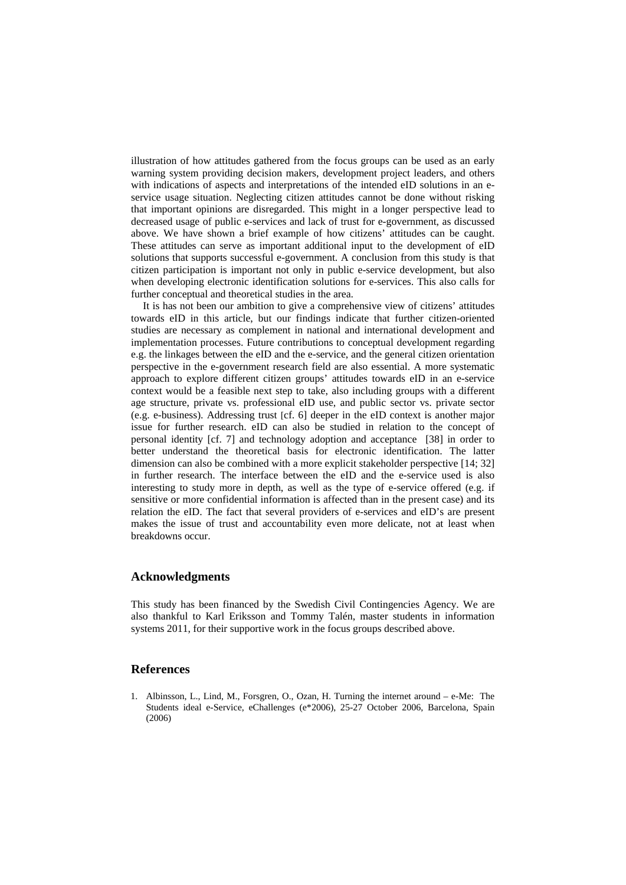illustration of how attitudes gathered from the focus groups can be used as an early warning system providing decision makers, development project leaders, and others with indications of aspects and interpretations of the intended eID solutions in an eservice usage situation. Neglecting citizen attitudes cannot be done without risking that important opinions are disregarded. This might in a longer perspective lead to decreased usage of public e-services and lack of trust for e-government, as discussed above. We have shown a brief example of how citizens' attitudes can be caught. These attitudes can serve as important additional input to the development of eID solutions that supports successful e-government. A conclusion from this study is that citizen participation is important not only in public e-service development, but also when developing electronic identification solutions for e-services. This also calls for further conceptual and theoretical studies in the area.

It is has not been our ambition to give a comprehensive view of citizens' attitudes towards eID in this article, but our findings indicate that further citizen-oriented studies are necessary as complement in national and international development and implementation processes. Future contributions to conceptual development regarding e.g. the linkages between the eID and the e-service, and the general citizen orientation perspective in the e-government research field are also essential. A more systematic approach to explore different citizen groups' attitudes towards eID in an e-service context would be a feasible next step to take, also including groups with a different age structure, private vs. professional eID use, and public sector vs. private sector (e.g. e-business). Addressing trust [cf. 6] deeper in the eID context is another major issue for further research. eID can also be studied in relation to the concept of personal identity [cf. 7] and technology adoption and acceptance [38] in order to better understand the theoretical basis for electronic identification. The latter dimension can also be combined with a more explicit stakeholder perspective [14; 32] in further research. The interface between the eID and the e-service used is also interesting to study more in depth, as well as the type of e-service offered (e.g. if sensitive or more confidential information is affected than in the present case) and its relation the eID. The fact that several providers of e-services and eID's are present makes the issue of trust and accountability even more delicate, not at least when breakdowns occur.

## **Acknowledgments**

This study has been financed by the Swedish Civil Contingencies Agency. We are also thankful to Karl Eriksson and Tommy Talén, master students in information systems 2011, for their supportive work in the focus groups described above.

## **References**

1. Albinsson, L., Lind, M., Forsgren, O., Ozan, H. Turning the internet around – e-Me: The Students ideal e-Service, eChallenges (e\*2006), 25-27 October 2006, Barcelona, Spain (2006)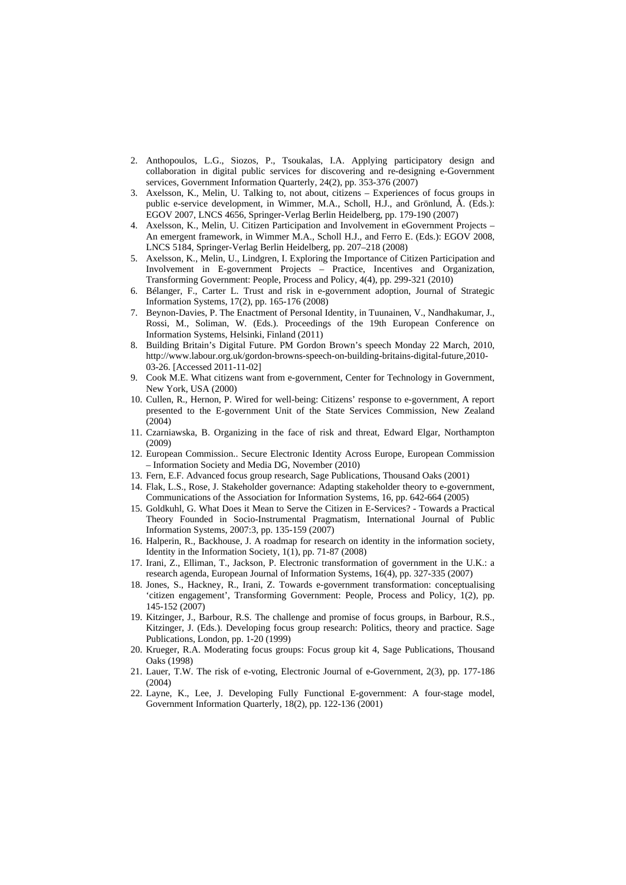- 2. Anthopoulos, L.G., Siozos, P., Tsoukalas, I.A. Applying participatory design and collaboration in digital public services for discovering and re-designing e-Government services, Government Information Quarterly, 24(2), pp. 353-376 (2007)
- 3. Axelsson, K., Melin, U. Talking to, not about, citizens Experiences of focus groups in public e-service development, in Wimmer, M.A., Scholl, H.J., and Grönlund, Å. (Eds.): EGOV 2007, LNCS 4656, Springer-Verlag Berlin Heidelberg, pp. 179-190 (2007)
- 4. Axelsson, K., Melin, U. Citizen Participation and Involvement in eGovernment Projects An emergent framework, in Wimmer M.A., Scholl H.J., and Ferro E. (Eds.): EGOV 2008, LNCS 5184, Springer-Verlag Berlin Heidelberg, pp. 207–218 (2008)
- 5. Axelsson, K., Melin, U., Lindgren, I. Exploring the Importance of Citizen Participation and Involvement in E-government Projects – Practice, Incentives and Organization, Transforming Government: People, Process and Policy, 4(4), pp. 299-321 (2010)
- 6. Bélanger, F., Carter L. Trust and risk in e-government adoption, Journal of Strategic Information Systems, 17(2), pp. 165-176 (2008)
- 7. Beynon-Davies, P. The Enactment of Personal Identity, in Tuunainen, V., Nandhakumar, J., Rossi, M., Soliman, W. (Eds.). Proceedings of the 19th European Conference on Information Systems, Helsinki, Finland (2011)
- 8. Building Britain's Digital Future. PM Gordon Brown's speech Monday 22 March, 2010, http://www.labour.org.uk/gordon-browns-speech-on-building-britains-digital-future,2010- 03-26. [Accessed 2011-11-02]
- 9. Cook M.E. What citizens want from e-government, Center for Technology in Government, New York, USA (2000)
- 10. Cullen, R., Hernon, P. Wired for well-being: Citizens' response to e-government, A report presented to the E-government Unit of the State Services Commission, New Zealand (2004)
- 11. Czarniawska, B. Organizing in the face of risk and threat, Edward Elgar, Northampton (2009)
- 12. European Commission.. Secure Electronic Identity Across Europe, European Commission – Information Society and Media DG, November (2010)
- 13. Fern, E.F. Advanced focus group research, Sage Publications, Thousand Oaks (2001)
- 14. Flak, L.S., Rose, J. Stakeholder governance: Adapting stakeholder theory to e-government, Communications of the Association for Information Systems, 16, pp. 642-664 (2005)
- 15. Goldkuhl, G. What Does it Mean to Serve the Citizen in E-Services? Towards a Practical Theory Founded in Socio-Instrumental Pragmatism, International Journal of Public Information Systems, 2007:3, pp. 135-159 (2007)
- 16. Halperin, R., Backhouse, J. A roadmap for research on identity in the information society, Identity in the Information Society, 1(1), pp. 71-87 (2008)
- 17. Irani, Z., Elliman, T., Jackson, P. Electronic transformation of government in the U.K.: a research agenda, European Journal of Information Systems, 16(4), pp. 327-335 (2007)
- 18. Jones, S., Hackney, R., Irani, Z. Towards e-government transformation: conceptualising 'citizen engagement', Transforming Government: People, Process and Policy, 1(2), pp. 145-152 (2007)
- 19. Kitzinger, J., Barbour, R.S. The challenge and promise of focus groups, in Barbour, R.S., Kitzinger, J. (Eds.). Developing focus group research: Politics, theory and practice. Sage Publications, London, pp. 1-20 (1999)
- 20. Krueger, R.A. Moderating focus groups: Focus group kit 4, Sage Publications, Thousand Oaks (1998)
- 21. Lauer, T.W. The risk of e-voting, Electronic Journal of e-Government, 2(3), pp. 177-186 (2004)
- 22. Layne, K., Lee, J. Developing Fully Functional E-government: A four-stage model, Government Information Quarterly, 18(2), pp. 122-136 (2001)